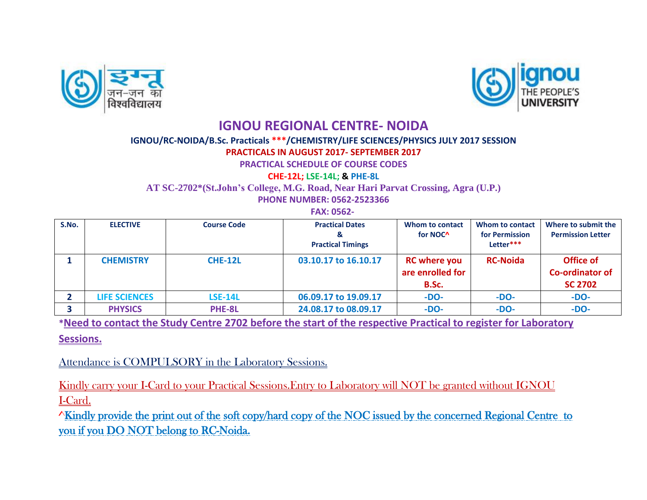



## **IGNOU REGIONAL CENTRE- NOIDA**

## **IGNOU/RC-NOIDA/B.Sc. Practicals \*\*\*/CHEMISTRY/LIFE SCIENCES/PHYSICS JULY 2017 SESSION**

## **PRACTICALS IN AUGUST 2017- SEPTEMBER 2017**

**PRACTICAL SCHEDULE OF COURSE CODES** 

**CHE-12L; LSE-14L; & PHE-8L**

**AT SC-2702\*(St.John's College, M.G. Road, Near Hari Parvat Crossing, Agra (U.P.)**

**PHONE NUMBER: 0562-2523366**

 **FAX: 0562-**

| S.No. | <b>ELECTIVE</b>      | <b>Course Code</b> | <b>Practical Dates</b><br><b>Practical Timings</b> | Whom to contact<br>for NOC <sup>^</sup>          | Whom to contact<br>for Permission<br>Letter*** | Where to submit the<br><b>Permission Letter</b>       |
|-------|----------------------|--------------------|----------------------------------------------------|--------------------------------------------------|------------------------------------------------|-------------------------------------------------------|
|       | <b>CHEMISTRY</b>     | CHE-12L            | 03.10.17 to 16.10.17                               | <b>RC</b> where you<br>are enrolled for<br>B.Sc. | <b>RC-Noida</b>                                | Office of<br><b>Co-ordinator of</b><br><b>SC 2702</b> |
|       | <b>LIFE SCIENCES</b> | <b>LSE-14L</b>     | 06.09.17 to 19.09.17                               | $-DO-$                                           | $-DO-$                                         | $-DO-$                                                |
|       | <b>PHYSICS</b>       | PHE-8L             | 24.08.17 to 08.09.17                               | $-DO-$                                           | $-DO-$                                         | $-DO-$                                                |

**\*Need to contact the Study Centre 2702 before the start of the respective Practical to register for Laboratory** 

**Sessions.**

Attendance is COMPULSORY in the Laboratory Sessions.

Kindly carry your I-Card to your Practical Sessions.Entry to Laboratory will NOT be granted without IGNOU I-Card.

^Kindly provide the print out of the soft copy/hard copy of the NOC issued by the concerned Regional Centre to you if you DO NOT belong to RC-Noida.